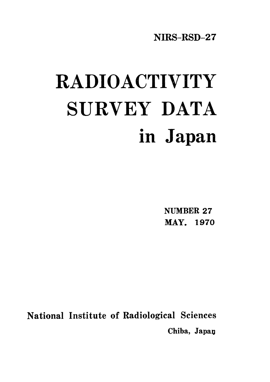NIRS-RSD-27

# RADIOACTIVITY SURVEY DATA in Japan

**NUMBER 27** MAY. 1970

National Institute of Radiological Sciences Chiba, Japan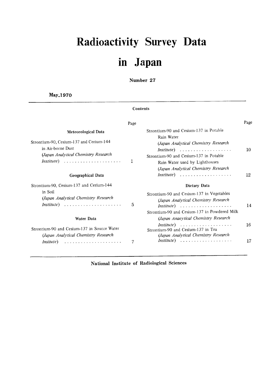## Radioactivity Survey Data in Japan

Number 27

Contents

May.1970

|                                                                                                                                                                                             | Page |                                                                                                                                                                                                                                                                            | Page     |
|---------------------------------------------------------------------------------------------------------------------------------------------------------------------------------------------|------|----------------------------------------------------------------------------------------------------------------------------------------------------------------------------------------------------------------------------------------------------------------------------|----------|
| Meteorological Data<br>Strontium-90, Cesium-137 and Cerium-144<br>in Air-borne Dust<br>(Japan Analytical Chemistry Research<br>$Institute) \dots \dots \dots \dots \dots \dots \dots \dots$ | 1    | Strontium-90 and Cesium-137 in Potable<br>Rain Water<br>(Japan Analytical Chemistry Research<br>$Institute) \dots \dots \dots \dots \dots \dots \dots$<br>Strontium-90 and Cesium-137 in Potable<br>Rain Water used by Lighthouses<br>(Japan Analytical Chemistry Research | 10       |
| Geographical Data                                                                                                                                                                           |      | $Institute) \dots \dots \dots \dots \dots \dots \dots$                                                                                                                                                                                                                     | 12       |
| Strontium-90, Cesium-137 and Cerium-144<br>in Soil<br>(Japan Analytical Chemistry Research<br>$Institute) \dots \dots \dots \dots \dots \dots \dots \dots$                                  | 5    | Dietary Data<br>Strontium-90 and Cesium-137 in Vegetables<br>(Japan Analytical Chemistry Research<br>Institute)<br>Strontium-90 and Cesium-137 in Powdered Milk                                                                                                            | 14       |
| <b>Water Data</b><br>Strontium-90 and Cesium-137 in Source Water<br>(Japan Analytical Chemistry Research<br><i>Insitute</i> )                                                               | 7    | (Japan Anaeytical Chemistry Research<br>$Institute) \dots \dots \dots \dots \dots \dots \dots$<br>Strontium-90 and Cesium-137 in Tea<br>(Japan Analytical Chemistry Research<br>Institute)                                                                                 | 16<br>17 |

National Institute of Radiological Sciences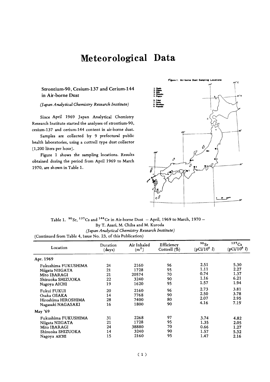## Meteorological Data

#### Strontium-90, Cesium-137 and Cerium-144 in Air-borne Dust

(Japan Analytical Chemistry Research Institute)

Since April 1969 Japan Analytical Chemistry Research Institute started the analyses of strontium-90, cesium-137 and cerium-144 content in air-borne dust.

Samples are collected by 9 prefectural public health laboratories, using a cottrell type dust collector (1,200 liters per hour).

Figure 1 shows the sampling locations. Results obtained during the period from April 1969 to March 1970, are shown in Table 1.



Table 1.  $^{90}$  Sr,  $^{137}$ Cs and  $^{144}$ Ce in Air-borne Dust - April, 1969 to March, 1970 -By T. Asari, M. Chiba and M. Kuroda (Japan Analytical Chemistry Research Institute) (Continued from Table 4, Issue No. 23, of this Publication)

| Location            | Duration<br>(days) | Air Inhaled<br>$\rm (m^2)$ | Efficiency<br>Cottrell $(\dot{\%})$ | 90 <sub>Sr</sub><br>$(pCi/10^6 l)$ | 137C <sub>S</sub><br>$(pCi/10^6 l)$ |
|---------------------|--------------------|----------------------------|-------------------------------------|------------------------------------|-------------------------------------|
| Apr. 1969           |                    |                            |                                     |                                    |                                     |
| Fukushima FUKUSHIMA | 24                 | 2160                       | 96                                  | 2.51                               | 5.30                                |
| Niigata NIIGATA     | 21                 | 1728                       | 95                                  | 1.11                               | 2.27                                |
| Mito IBARAGI        | 21                 | 20574                      | 70                                  | 0.74                               | 1.37                                |
| Shizuoka SHIZUOKA   | 22                 | 3240                       | 90                                  | 1.16                               | 6.21                                |
| Nagoya AICHI        | 19                 | 1620                       | 95                                  | 1.57                               | 1.94                                |
| Fukui FUKUI         | 20                 | 2160                       | 96                                  | 2.73                               | 3.81                                |
| Osaka OSAKA         | 14                 | 7768                       | 90                                  | 2.50                               | 3.78                                |
| Hiroshima HIROSHIMA | 28                 | 7400                       | 80                                  | 2.07                               | 2.95                                |
| Nagasaki NAGASAKI   | 16                 | 1800                       | 90                                  | 4.16                               | 7.19                                |
| May '69             |                    |                            |                                     |                                    |                                     |
| Fukushima FUKUSHIMA | 31                 | 2268                       | 97                                  | 3.74                               | 4.82                                |
| Niigata NIIGATA     | 21                 | 1728                       | 95                                  | 1.35                               | 2.05                                |
| Mito IBARAGI        | 24                 | 38880                      | 70                                  | 0.66                               | 1.27                                |
| Shizuoka SHIZUOKA   | 14                 | 3240                       | 90                                  | 1.57                               | 5.32                                |
| Nagova AICHI        | 15                 | 2160                       | 95                                  | 1.47                               | 2.16                                |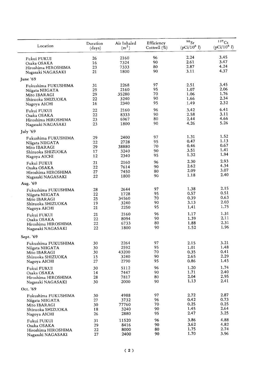|                     |                    |                                  |                               | 90Sr           | 137Cs          |
|---------------------|--------------------|----------------------------------|-------------------------------|----------------|----------------|
| Location            | Duration<br>(days) | Air Inhaled<br>(m <sup>2</sup> ) | Efficiency<br>Cottrell $(\%)$ | $(pCi/10^6 l)$ | $(pCi/10^6 l)$ |
| Fukui FUKUI         | 26                 | 2160                             | 96                            | 2.24           | 3.45           |
| Osaka OSAKA         | 16                 | 7324                             | 90                            | 2.61           | 3.47           |
| Hiroshima HIROSHIMA | 23                 | 7333                             | 80                            | 2.87           | 4.24           |
| Nagasaki NAGASAKI   | 21                 | 1800                             | 90                            | 3.11           | 4.37           |
| June '69            |                    |                                  |                               |                |                |
| Fukushima FUKUSHIMA | 31                 | 2268                             | 97                            | 2.51           | 3.45           |
| Niigata NIIGATA     | 29                 | 2160                             | 95                            | 1.07           | 2.06           |
| Mito IBARAGI        | 29                 | 35280                            | 70                            | 1.06           | 1.76           |
| Shizuoka SHIZUOKA   | 22                 | 3240                             | 90                            | 1.66           | 2.34           |
| Nagoya AICHI        | 16                 | 2340                             | 95                            | 1.49           | 2.32           |
| Fukui FUKUI         | 22                 | 2160                             | 96                            | 3.42           | 6.41           |
| Osaka OSAKA         | 22                 | 8333                             | 90                            | 2.58           | 3.11           |
| Hiroshima HIROSHIMA | 23                 | 6967                             | 80                            | 2.44           | 4.66           |
| Nagasaki NAGASAKI   | 23                 | 1800                             | 90                            | 4.26           | 5.26           |
| July '69            |                    |                                  |                               |                |                |
| Fukushima FUKUSHIMA | 29                 | 2400                             | 97                            | 1.31           | 1.52           |
| Niigata NIIGATA     | 22                 | 2728                             | 95                            | 0.47           | 1.13           |
| Mito IBARAGI        | 29                 | 38880                            | 70                            | 0.46           | 0.67           |
| Shizuoka SHIZUOKA   | 17                 | 3240                             | 90                            | 3.51           | 1.41           |
| Nagoya AICHI        | 12                 | 2340                             | 95                            | 1.32           | 1.94           |
| Fukui FUKUI         | 21                 | 2160                             | 96                            | 2.30           | 2.93           |
| Osaka OSAKA         | 22                 | 7614                             | 90                            | 2.62           | 4.34           |
| Hiroshima HIROSHIMA | 27                 | 7450                             | 80                            | 2.09           | 3.07           |
| Nagasaki NAGASAKI   | 22                 | 1800                             | 90                            | 1.18           | 2.40           |
| Aug. '69            |                    |                                  |                               |                |                |
| Fukushima FUKUSHIMA | 28                 | 2644                             | 97                            | 1.38           | 2.15           |
| Niigata NIIGATA     | 22                 | 1728                             | 95                            | 0.57           | 0.51           |
| Mito IBARAGI        | 25                 | 34560                            | 70                            | 0.39           | 0.63           |
| Shizuoka SHIZUOKA   | 19                 | 3240                             | 90                            | 3.13           | 2.03           |
| Nagoya AICHI        | 21                 | 2250                             | 95                            | 1.41           | 1.75           |
| Fukui FUKUI         | 21                 | 2160                             | 96                            | 1.17           | 1.31           |
| Osaka OSAKA         | 22                 | 8094                             | 90                            | 1.39           | 2.11           |
| Hiroshima HIROSHIMA | 22                 | 6733                             | 80                            | 1.88           | 2.31           |
| Nagasaki NAGASAKI   | 22                 | 1800                             | 90                            | 1.52           | 1.96           |
| Sept. '69           |                    |                                  |                               |                |                |
| Fukushima FUKUSHIMA | 30                 | 2264                             | 97                            | 2.15           | 3.21           |
| Niigata NIIGATA     | 30                 | 2592                             | 95                            | 1.01           | 1.48           |
| Mito IBARAGI        | 30                 | 43200                            | 70                            | 0.35           | 0.41           |
| Shizuoka SHIZUOKA   | 15                 | 3240                             | 90                            | 2.65           | 2.29           |
| Nagoya AICHI        | 27                 | 2790                             | 95                            | 0.86           | 1.45           |
| Fukui FUKUI         | 30                 | 5112                             | 96                            | 1.20           | 1.74           |
| Osaka OSAKA         | 14                 | 7447                             | 90                            | 1.71           | 2.40           |
| Hiroshima HIROSHIMA | 28                 | 7817                             | 80                            | 2.04           | 2.95           |
| Nagasaki NAGASAKI   | 30                 | 2000                             | 90                            | 1.13           | 2.41           |
| Oct. '69            |                    |                                  |                               |                |                |
| Fukushima FUKUSHIMA | 30                 | 4988                             | 97                            | 2.72           | 2.87           |
| Niigata NIIGATA     | 27                 | 3732                             | 96                            | 0.42           | 0.73           |
| Mito IBARAGI        | 30                 | 77760                            | 70                            | 0.25           | 0.25           |
| Shizuoka SHIZUOKA   | 18                 | 3240                             | 90                            | 1.45           | 2.64           |
| Nagoya AICHI        | 26                 | 2880                             | 95                            | 2.47           | 3.25           |
| Fukui FUKUI         | 31                 | 11520                            | 96                            | 3.86           | 4.88           |
| Osaka OSAKA         | 29                 | 8416                             | 90                            | 3.62           | 4.82           |
| Hiroshima HIROSHIMA | 22                 | 8000                             | 80                            | 1.75           | 2.74           |
| Nagasaki NAGASAKI   | 27                 | 2400                             | 90                            | 1.70           | 3.96           |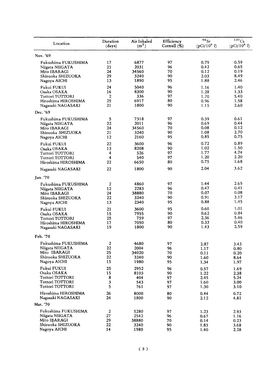| Location               | Duration         | Air Inhaled       | Efficiency   | $90$ Sr        | 137Cs          |
|------------------------|------------------|-------------------|--------------|----------------|----------------|
|                        | (days)           | (m <sup>2</sup> ) | Cottrell (%) | $(pCi/10^6 l)$ | $(pCi/10^6 l)$ |
| Nov. '69               |                  |                   |              |                |                |
| Fukushima FUKUSHIMA    | 17               | 6877              | 97           | 0.79           | 0.59           |
| Niigata NIIGATA        | 21               | 2031              | 96           | 0.42           | 0.65           |
| Mito IBARAGI           | 24               | 34560             | 70           | 0.12           | 0.19           |
| Shizuoka SHIZUOKA      | 29               | 3240              | 90           | 2.03           | 8.49           |
| Nagoya AICHI           | 13               | 1890              | 95           | 1.88           | 2.46           |
| Fukui FUKUI            | 24               | 5040              | 96           | 1.16           | 1.40           |
| Osaka OSAKA            | 16               | 8300              | 90           | 1.28           | 1.33           |
| <b>Tottori TOTTORI</b> | 2                | 336               | 97           | 1.70           | 5.40           |
| Hiroshima HIROSHIMA    | 25               | 6917              | 80           | 0.96           | 1.58           |
| Nagasaki NAGASAKI      | 21               | 1800              | 90           | 1.15           | 2.60           |
| Dec. '69               |                  |                   |              |                |                |
| Fukushima FUKUSHIMA    | ${\bf 5}$        | 7318              | 97           | 0.39           | 0.61           |
| Niigata NIIGATA        | 22               | 2011              | 96           | 0.69           | 0.44           |
| Mito IBARAGI           | 24               | 34560             | 70           | 0.08           | 0.12           |
| Shizuoka SHIZUOKA      | 21               | 3240              | 90           | 1.08           | 2.70           |
| Nagoya AICHI           | 12               | 2160              | 95           | 0.85           | 0.75           |
| Fukui FUKUI            | 22               | 3600              | 96           | 0.72           | 0.89           |
| Osaka OSAKA            | 13               | 8208              | 90           | 1.02           | 1.50           |
| Tottori TOTTORI        | 4                | 526               | 97           | 1.77           | 4.74           |
| Tottori TOTTORI        | 4                | 540               | 97           | 1.20           | 2.20           |
| Hiroshima HIROSHIMA    | 22               | 6650              | 80           | 0.75           | 1.68           |
| Nagasaki NAGASAKI      | 22               | 1800              | 90           | 2.04           | 3.62           |
| Jan. '70               |                  |                   |              |                |                |
| Fukushima FUKUSHIMA    | $\boldsymbol{2}$ | 4860              | 97           | 1.44           | 2.65           |
| Niigata NIIGATA        | 12               | 2283              | 96           | 0.47           | 0.41           |
| Mito IBARAGI           | 24               | 38880             | 70           | 0.07           | 0.08           |
| Shizuoka SHIZUOKA      | 22               | 3240              | 90           | 0.91           | 3.17           |
| Nagoya AICHI           | 13               | 2340              | 95           | 0.88           | 1.45           |
| Fukui FUKUI            | 21               | 3600              | 95           | 0.60           | 1.01           |
| Osaka OSAKA            | 15               | 7955              | 90           | 0.62           | 0.84           |
| Tottori TOTTORI        | 25               | 759               | 97           | 2.36           | 5.46           |
| Hiroshima HIROSHIMA    | 17               | 7050              | 80           | 0.33           | 0.40           |
| Nagasaki NAGASAKI      | 19               | 1800              | 90           | 1.43           | 2.59           |
| Feb. '70               |                  |                   |              |                |                |
| Fukushima FUKUSHIMA    | 2                | 4680              | 97           | 2.87           | 3.43           |
| Niigata NIIGATA        | 22               | 2004              | 96           | 1.17           | 0.80           |
| Mito IBARAGI           | 25               | 34020             | 70           | 0.11           | 0.20           |
| Shizuoka SHIZUOKA      | 22               | 3240              | 90           | 1.60           | 8.64           |
| Nagoya AICHI           | 15               | 1980              | 95           | 1.34           | 1.97           |
| Fukui FUKUI            | 25               | 2952              | 96           | 0.57           | 1.69           |
| Osaka OSAKA            | 15               | 8103              | 90           | 1.22           | 2.38           |
| Tottori TOTTORI        | 8                | 404               | 97           | 2.45           | 5.24           |
| Tottori TOTTORI        | 3                | 543               | 97           | 1.60           | 3.00           |
| Tottori TOTTORI        | 5                | 761               | 97           | 1.30           | 3.10           |
| Hiroshima HIROSHIMA    | 26               | 8000              | 80           | 0.44           | 0.72           |
| Nagasaki NAGASAKI      | 24               | 1800              | 90           | 2.12           | 4.81           |
| Mar. '70               |                  |                   |              |                |                |
| Fukushima FUKUSHIMA    | $\boldsymbol{2}$ | 5280              | 97           | 1.23           | 2.93           |
| Niigata NIIGATA        | 27               | 2542              | 96           | 0.67           | 1.16           |
| Mito IBARAGI           | 29               | 38880             | 70           | 0.14           | 0.23           |
| Shizuoka SHIZUOKA      | 22               | 3240              | 90           | 1.83           | 3.68           |
| Nagoya AICHI           | 14               | 1980              | 95           | 1.40           | 2.28           |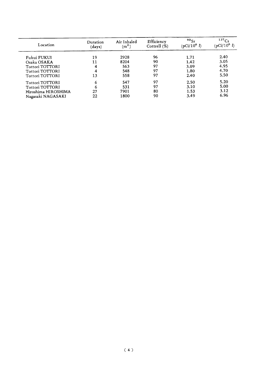| Location            | Duration<br>(days) | Air Inhaled<br>$\rm (m^2)$ | Efficiency<br>Cottrell $(\%)$ | 90Sr<br>$\sqrt{p}$ Ci/10 <sup>6</sup> <i>l</i> ) | 137Cs<br>$(pCi/10^6 l)$ |
|---------------------|--------------------|----------------------------|-------------------------------|--------------------------------------------------|-------------------------|
| Fukui FUKUI         | 19                 | 2928                       | 96                            | 1.71                                             | 2.40                    |
| Osaka OSAKA         | 11                 | 8204                       | 90                            | 1.42                                             | 3.05                    |
| Tottori TOTTORI     |                    | 563                        | 97                            | 3.09                                             | 4.95                    |
| Tottori TOTTORI     |                    | 548                        | 97                            | 1.80                                             | 4.70                    |
| Tottori TOTTORI     | 13                 | 558                        | 97                            | 2.40                                             | 5.50                    |
| Tottori TOTTORI     | 6                  | 547                        | 97                            | 2.50                                             | 5.20                    |
| Tottori TOTTORI     | 6                  | 531                        | 97                            | 3.10                                             | 5.00                    |
| Hiroshima HIROSHIMA | 27                 | 7901                       | 80                            | 1.53                                             | 3.12                    |
| Nagasaki NAGASAKI   | 22                 | 1800                       | 90                            | 3.49                                             | 6.96                    |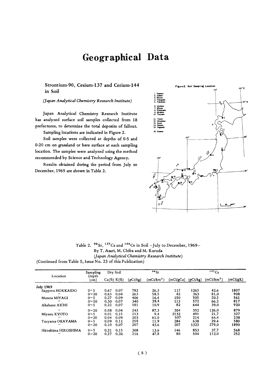## Geographical Data

Strontium-90, Cesium-137 and Cerium-144 in Soil

(Japan Analytical Chemistry Research Institute)

Japan Analytical Chemistry Research Institute has analyzed surface soil samples collected from 18 prefectures, to determine the total deposits of fallout. Sampling locations are indicated in Figure 2.

Soil samples were collected at depths of 0-5 and 0-20 cm on grassland or bare surface at each sampling location. The samples were analyzed using the method recommended by Science and Technology Agency.

Results obtained during the period from July to December, 1969 are shown in Table 2.



Table 2. <sup>90</sup>Sr, <sup>137</sup>Cs and <sup>144</sup>Ce in Soil -July to December, 1969-By T. Asari, M. Chiba and M. Kuroda (Japan Analytical Chemistry Research Institute) (Continued from Table 5, Issue No. 23 of this Publication)

|                     | Sampling      |      | Dry Soil       |          | 90Sr                   |           |          | 137Cs                  |          |
|---------------------|---------------|------|----------------|----------|------------------------|-----------|----------|------------------------|----------|
| Location            | Depth<br>(cm) |      | $Ca(\%) K(\%)$ | (pCi/kg) | (mCi/km <sup>2</sup> ) | (mCi/gCa) | (pCi/kg) | (mCi/km <sup>2</sup> ) | (mCi/gK) |
| <b>July 1969</b>    |               |      |                |          |                        |           |          |                        |          |
| Sapporo HOKKAIDO    | $0 \sim 5$    | 0.67 | 0.07           | 782      | 26.3                   | 117       | 1265     | 42.6                   | 1807     |
| ,,                  | $0 - 20$      | 0.63 | 0.04           | 263      | 58.5                   | 42        | 363      | 81.0                   | 908      |
| Murata MIYAGI       | $0 \sim 5$    | 0.27 | 0.09           | 406      | 16.4                   | 150       | 505      | 20.5                   | 561      |
| ,,                  | $0 - 20$      | 0.30 | 0.07           | 340      | 39.4                   | 113       | 572      | 66.2                   | 817      |
| Akabane AICHI       | $0 \sim 5$    | 0.22 | 0.07           | 181      | 10.9                   | 82        | 644      | 39.0                   | 920      |
|                     | $0 - 20$      | 0.08 | 0.04           | 243      | 87.3                   | 304       | 352      | 126.0                  | 879      |
| Miyazu KYOTO        | $0 \sim 5$    | 0.01 | 0.15           | 213      | 9.4                    | 2132      | 491      | 21.7                   | 327      |
|                     | $0 - 20$      | 0.04 | 0.09           | 203      | 61.0                   | 507       | 214      | 64.4                   | 238      |
| Tsuyama OKAYAMA     | $0 \sim 5$    | 0.09 | 0.11           | 259      | 11.9                   | 284       | 638      | 29.4                   | 580      |
|                     | $0 - 20$      | 0.10 | 0.07           | 207      | 43.6                   | 207       | 1323     | 279.0                  | 1890     |
| Hiroshima HIROSHIMA | $0 \sim 5$    | 0.21 | 0.15           | 308      | 13.6                   | 146       | 853      | 37.7                   | 568      |
| $\cdot$             | $0 - 20$      | 0.27 | 0.20           | 216      | 47.8                   | 80        | 504      | 112.0                  | 252      |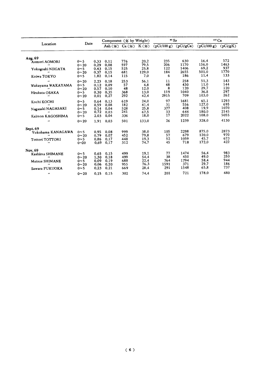|                        |                |      | Component $(\mathcal{X}$ by Weight) |                                        |                  | $\cdot$ Sr  |             | $137 \text{Cs}$ |            |
|------------------------|----------------|------|-------------------------------------|----------------------------------------|------------------|-------------|-------------|-----------------|------------|
| Location               | Date           |      |                                     | Ash $(\mathcal{X})$ Ca $(\mathcal{X})$ | $K(\mathcal{X})$ | (pCi/100 g) | (pCi/gCa)   | (pCi/100 g)     | (pCi/gK)   |
| Aug. 69                |                |      |                                     |                                        |                  |             |             |                 |            |
| Aomori AOMORI          | $0 \sim 5$     | 0.33 | 0.11                                | 776                                    | 20.2             | 235         | 630         | 16.4            | 572        |
| $\bullet$              | $0 - 20$       | 0.29 | 0.08                                | 597                                    | 79.5             | 206         | 1170        | 156.0           | 1463       |
| Yokogoshi NIIGATA      | $0 \sim 5$     | 0.43 | 0.15                                | 525                                    | 25.8             | 122         | 1406        | 69.2            | 937        |
|                        | $0 - 20$       | 0.37 | 0.15                                | 681                                    | 129.0            | 184         | 2655        | 501.0           | 1770       |
| Koiwa TOKYO            | $0 \sim 5$     | 1.82 | 0.14                                | 115                                    | 7.0              | 6           | 186         | 11.4            | 133        |
| $^{\prime\prime}$      | $0 - 20$       | 2.23 | 0.18                                | 253                                    | 56.1             | 11          | 258         | 51.3            | 143        |
| Wakayama WAKAYAMA      | $0 \sim 5$     | 0.12 | 0.09                                | 57                                     | 4.8              | 48          | 430         | 11.0            | 144        |
| $\bullet$              | $0 - 20$       | 0.57 | 0.10                                | 48                                     | 12.0             | 8           | 120         | 29.7            | 120        |
| Hirakata OSAKA         | $0 \sim 5$     | 0.30 | 0.35                                | 368                                    | 13.0             | 119         | 1040        | 36.8            | 297        |
| $^{\prime\prime}$      | $0 - 20$       | 0.01 | 0.27                                | 292                                    | 42.4             | 2915        | 709         | 103.0           | 262        |
| Kochi KOCHI            | 0 <sub>5</sub> | 0.64 | 0.13                                | 619                                    | 24.0             | 97          | 1681        | 65.1            | 1293       |
| $\bullet$              | $0 - 20$       | 0.59 | 0.08                                | 182                                    | 41.4             | 31          | 556         | 127.0           | 695        |
| Nagasaki NAGASAKI      | $0 \sim 5$     | 0.14 | 0.04                                | 528                                    | 25.8             | 377         | 408         | 19.9            | 1070       |
|                        | $0 - 20$       | 0.72 | 0.03                                | 241                                    | 67.5             | 33          | 644         | 180.0           | 2145       |
| Kaimon KAGOSHIMA       | $0~\sim 5$     | 2.03 | 0.04                                | 336                                    | 18.0             | 17          | 2022        | 108.0           | 5055       |
|                        | $0 - 20$       | 1.91 | 0.03                                | 501                                    | 133.0            | 26          | 1239        | 328.0           | 4130       |
| Sept. 69               |                |      |                                     |                                        |                  |             |             |                 |            |
| Yokohama KANAGAWA      | $0 \sim 5$     | 0.95 | 0.08                                | 999                                    | 38.0             | 105         | 2298        | 875.0           | 2873       |
|                        | $0 - 20$       | 0.79 | 0.07                                | 452                                    | 79.8             | 57          | 679         | 120.0           | 970        |
| Tottori TOTTORI        | $0 \sim 5$     | 0.86 | 0.17                                | 448                                    | 19.3             | 52          | 1059<br>718 | 45.7<br>172.0   | 673<br>422 |
|                        | $0 - 20$       | 0.69 | 0.17                                | 312                                    | 74.7             | 45          |             |                 |            |
| Nov. 69                |                |      |                                     |                                        |                  |             |             |                 |            |
| Kashima SHIMANE        | $0 \sim 5$     | 0.65 | 0.15                                | 499                                    | 19.1             | 77          | 1474        | 56.4            | 983        |
|                        | $0 - 20$       | 1.30 | 0.18                                | 499                                    | 54.4             | 38          | 450         | 49.0            | 250        |
| Matsue SHIMANE         | 0~5            | 0.09 | 0.19                                | 688                                    | 22.4             | 764         | 1794        | 58.4            | 944        |
|                        | $0 - 20$       | 0.06 | 0.20                                | 955                                    | 76.3             | 1591        | 371<br>1548 | 29.7<br>65.8    | 186<br>737 |
| Sawara FUKUOKA         | $0 - 5$        | 0.23 | 0.21                                | 669                                    | 28.4             | 291         |             |                 |            |
| $\pmb{\ast}\pmb{\ast}$ | $0 - 20$       | 0.15 | 0.15                                | 302                                    | 74.4             | 201         | 721         | 178.0           | 480        |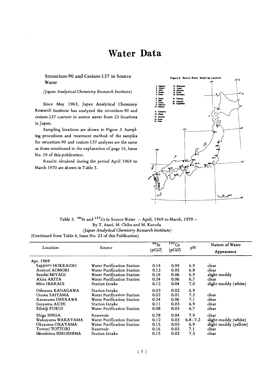## **Water Data**

#### Strontium-90 and Cesium-137 in Source Water

#### (Japan Analytical Chemistry Research Institute)

Since May 1963, Japan Analytical Chemistry Research Institute has analyzed the strontium-90 and cesium-137 content in source water from 23 locations in Japan.

Sampling locations are shown in Figure 3. Sampling procedures and treatment method of the samples for strontium-90 and cesium-137 analyses are the same as those mentioned in the explanation of page 16, Issue No. 19 of this publication.

Results obtained during the period April 1969 to March 1970 are shown in Table 3.



Table 3.  $90$  Sr and  $137$ Cs in Source Water - April, 1969 to March, 1970 -By T. Asari, M. Chiba and M. Kuroda (Japan Analytical Chemistry Research Institute) (Continued from Table 6, Issue No. 23 of this Publication)

| Location            | Source                     | $\overline{^{90}Sr}$ | $137C_s$ | рH          | Nature of Water       |
|---------------------|----------------------------|----------------------|----------|-------------|-----------------------|
|                     |                            | (pCi/l)              | (pCi/l)  |             | Appearance            |
| Apr. 1969           |                            |                      |          |             |                       |
| Sapporo HOKKAIDO    | Water Purification Station | 0.14                 | 0.04     | 6.9         | clear                 |
| Aomori AOMORI       | Water Purification Station | 0.13                 | 0.05     | 6.8         | clear                 |
| Sendai MIYAGI       | Water Purification Station | 0.16                 | 0.06     | 6.9         | slight muddy          |
| Akita AKITA         | Water Purification Station | 0.24                 | 0.06     | 6.7         | clear                 |
| Mito IBARAGI        | <b>Station Intake</b>      | 0.12                 | 0.04     | 7.0         | slight muddy (white)  |
| Odawara KANAGAWA    | <b>Station Intake</b>      | 0.03                 | 0.02     | 6.9         |                       |
| Urawa SAITAMA       | Water Purification Station | 0.02                 | 0.01     | 7.2         | clear                 |
| Kanazawa ISHIKAWA   | Water Purification Station | 0.24                 | 0.06     | 7.1         | clear                 |
| Inuyama AICHI       | <b>Station Intake</b>      | 0.11                 | 0.03     | 6.9         | clear                 |
| Eiheiji FUKUI       | Water Purification Station | 0.08                 | 0.03     | 6.7         | clear                 |
| Shiga SHIGA         | Reservoir                  | 0.78                 | 0.04     | 7.9         | clear                 |
| Wakayama WAKAYAMA   | Water Purification Station | 0.12                 | 0.03     | $6.8 - 7.2$ | slight muddy (white)  |
| Okayama OKAYAMA     | Water Purification Station | 0.15                 | 0.03     | 6.9         | slight muddy (yellow) |
| Tottori TOTTORI     | Reservoir                  | 0.16                 | 0.03     | 7.1         | clear                 |
| Hiroshima HIROSHIMA | <b>Station Intake</b>      | 0.15                 | 0.02     | 7.3         | clear                 |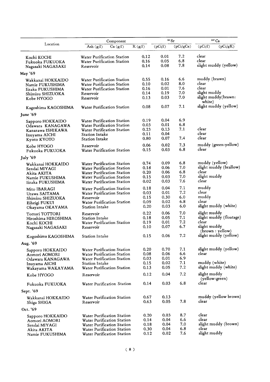|                                     | Component                                                |              | 90 Sr        |            | $137 \text{Cs}$                           |
|-------------------------------------|----------------------------------------------------------|--------------|--------------|------------|-------------------------------------------|
| Location                            | Ash $(g/l)$<br>Ca $(g/l)$                                | K(g/l)       | (pCi/l)      | (pCi/gCa)  | (pCi/l)<br>(pCi/gK)                       |
| Kochi KOCHI                         | <b>Water Purification Station</b>                        | 0.12         | 0.01         | 7.2        | clear                                     |
| Fukuoka FUKUOKA                     | Water Purification Station                               | 0.16         | 0.05         | 6.8        | clear                                     |
| Nagasaki NAGASAKI                   | Reservoir                                                | 0.14         | 0.08         | 7.8        | slight muddy (yellow)                     |
|                                     |                                                          |              |              |            |                                           |
| May '69                             |                                                          |              |              |            |                                           |
| Wakkanai HOKKAIDO                   | Water Purification Station                               | 0.55         | 0.16         | 6.6        | muddy (brawn)                             |
| Namie FUKUSHIMA                     | Water Purification Station                               | 0.10         | 0.02         | 8.0        | clear                                     |
| Iizaka FUKUSHIMA                    | Water Purification Station                               | 0.16         | 0.01         | 7.6        | clear                                     |
| Shimizu SHIZUOKA                    | Reservoir                                                | 0.14         | 0.19         | 7.0        | slight muddy                              |
| Kobe HYOGO                          | Reservoir                                                | 0.13         | 0.03         | 7.0        | slight muddy(brawn:<br>white)             |
| Kagoshima KAGOSHIMA                 | Water Purification Station                               | 0.08         | 0.07         | 7.1        | slight muddy (yellow)                     |
| June '69                            |                                                          |              |              |            |                                           |
| Sapporo HOKKAIDO                    | Water Purification Station                               | 0.19         | 0.04         | 6.9        |                                           |
| Odawara KANAGAWA                    | Water Purification Station                               | 0.03         | 0.01         | 6.8        |                                           |
| Kanazawa ISHIKAWA                   | Water Purification Station                               | 0.23         | 0.13         | 7.1        | clear                                     |
| Inuyama AICHI                       | <b>Station Intake</b>                                    | 0.11         | 0.04         |            | clear                                     |
| Kyoto KYOTO                         | <b>Station Intake</b>                                    | 0.80         | 0.07         | 7.4        | clear                                     |
| Kobe HYOGO                          | Reservoir                                                | 0.06         | 0.02         | 7.3        | muddy (green: yellow)                     |
| Fukuoka FUKUOKA                     | Water Purification Station                               | 0.15         | 0.03         | 6.8        | clear                                     |
| July $'69$                          |                                                          |              |              |            |                                           |
|                                     | Water Purification Station                               | 0.74         | 0.09         | 6.8        | muddy (yellow)                            |
| Wakkanai HOKKAIDO                   | Water Purification Station                               | 0.18         | 0.06         | 7.0        | slight muddy (brallow)                    |
| Sendai MIYAGI                       | Water Purification Station                               | 0.20         | 0.06         | 6.8        | clear                                     |
| Akita AKITA                         | Water Purification Station                               | 0.15         | 0.03         | 7.0        | slight muddy                              |
| Namie FUKUSHIMA<br>Iizaka FUKUSHIMA | Water Purification Station                               | 0.02         | 0.03         | 7.6        | clear                                     |
| Mito IBARAGI                        | Water Purification Station                               | 0.18         | 0.04         | 7.1        | muddy                                     |
| Urawa SAITAMA                       | Water Purification Station                               | 0.03         | 0.01         | 7.2        | clear                                     |
| Shimizu SHIZUOKA                    | Reservoir                                                | 0.15         | 0.30         | 6.0        | muddy                                     |
| Eiheigi FUKUI                       | Water Purification Station                               | 0.09         | 0.02         | 6.8        | clear                                     |
| Okayama OKAYAMA                     | <b>Station Intake</b>                                    | 0.20         | 0.03         | 6.0        | slight muddy (white)                      |
| Tottori TOTTORI                     | Reservoir                                                | 0.22         | 0.06         | 7.0        | slight muddy                              |
| Hiroshima HIROSHIMA                 | <b>Station Intake</b>                                    | 0.18         | 0.05         | 7.1        | slight muddy (floatage)                   |
| Kochi KOCHI                         | Water Purification Station                               | 0.19         | 0.01         | 7.2        | clear                                     |
| Nagasaki NAGASAKI                   | Reservoir                                                | 0.10         | 0.07         | 6.7        | slight muddy                              |
|                                     |                                                          | 0.15         | 0.06         | 7.2        | (brown : yellow)<br>slight muddy (yellow) |
| Kogoshima KAGOSHIMA                 | Station Intake                                           |              |              |            |                                           |
| Aug. '69                            |                                                          |              |              |            |                                           |
| Sapporo HOKKAIDO                    | Water Purification Station                               | 0.20         | 0.70         | 7.1        | slight muddy (yellow)                     |
| Aomori AOMORI                       | Water Purification Station                               | 0.08         | 0.06         | 6.6        | clear                                     |
| Odawara KANAGAWA                    | Water Purification Station                               | 0.03         | 0.01         | 6.9        |                                           |
| Inuyama AICHI                       | <b>Station Intake</b><br>Water Purification Station      | 0.15<br>0.13 | 0.02<br>0.05 | 7.1<br>7.2 | muddy (white)<br>slight muddy (white)     |
| Wakayama WAKAYAMA<br>Kobe HYOGO     | Reservoir                                                | 0.12         | 0.04         | 7.2        | slight muddy                              |
|                                     |                                                          |              |              |            | (yellow:green)                            |
| Fukuoka FUKUOKA                     | Water Purification Station                               | 0.14         | 0.03         | 6.8        | clear                                     |
| Sept. '69                           |                                                          |              |              |            |                                           |
| Wakkanai HOKKAIDO<br>Shiga SHIGA    | Water Purification Station<br>Reservoir                  | 0.67<br>0.63 | 0.13<br>0.05 | 7.8        | muddy (yellow brown)<br>clear             |
| Oct. '69                            |                                                          |              |              |            |                                           |
|                                     |                                                          |              | 0.03         | 8.7        | clear                                     |
| Sapporo HOKKAIDO                    | <b>Water Purification Station</b>                        | 0.20         |              | 6.6        | clear                                     |
| Aomori AOMORI                       | Water Purification Station                               | 0.14         | 0.04<br>0.04 | 7.0        | slight muddy (brown)                      |
| Sendai MIYAGI                       | Water Purification Station                               | 0.18<br>0.30 | 0.04         | 6.8        | clear                                     |
| Akita AKITA                         | Water Purification Station<br>Water Purification Station | 0.12         | 0.02         | 7.6        | slight muddy                              |
| Namie FUKUSHIMA                     |                                                          |              |              |            |                                           |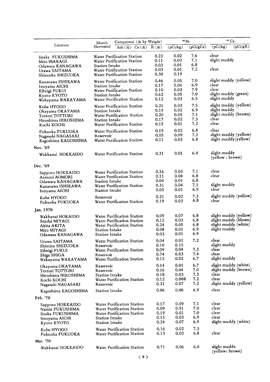|                                  | Component (% by Weight)<br>Month           |      | $\rm ^{90}Sr$ |           | $137 \text{Cs}$       |
|----------------------------------|--------------------------------------------|------|---------------|-----------|-----------------------|
| Location                         | Harvested<br>Ash $(\%)$ Ca $(\%)$ K $(\%)$ |      | (pCi/kg)      | (pCi/gCa) | (pCi/gK)<br>(pCi/kg)  |
| Iizaka FUKUSHIMA                 | Water Purification Station                 | 0.23 | 0.02          | 7.6       | clear                 |
| Mito IBARAGI                     | Water Purification Station                 | 0.11 | 0.02          | 7.1       | slight muddy          |
| Odawara KANAGAWA                 | <b>Station Intake</b>                      | 0.03 | 0.01          | 6.8       |                       |
| Urawa SAITAMA                    | Water Purification Station                 | 0.03 | 0.01          | 7.2       | clear                 |
| Shizuoka SHIZUOKA                | Water Purification Station                 | 0.30 | 0.19          |           |                       |
| Kanazawa ISHIKAWA                | Water Purification Station                 | 0.46 | 0.05          | 7.0       | slight muddy (yellow) |
| Inuyama AICHI                    | <b>Station Intake</b>                      | 0.17 | 0.04          | 6.9       | clear                 |
| Eiheigi FUKUI                    | Water Purification Station                 | 0.10 | 0.03          | 7.9       | clear                 |
| Kyoto KYOTO                      | <b>Station Intake</b>                      | 0.62 | 0.05          | 7.0       | slight muddy (green)  |
| Wakayama WAKAYAMA                | Water Purification Station                 | 0.12 | 0.03          | 6.5       | slight muddy          |
| Kobe HYOGO                       | Water Purification Station                 | 0.21 | 0.03          | 7.5       | slight muddy (yellow) |
| Okayama OKAYAMA                  | Station Intake                             | 0.19 | 0.02          | 6.9       | slight muddy          |
| Tottori TOTTORI                  | Water Purification Station                 | 0.20 | 0.05          | 7.1       | slight muddy (brown)  |
| Hiroshima HIROSHIMA              | <b>Station Intake</b>                      | 0.17 | 0.02          | 7.3       | clear                 |
| Kochi KOCHI                      | <b>Water Purification Station</b>          | 0.15 | 0.01          | 7.2       | clear                 |
| Fukuoka FUKUOKA                  | Water Purification Station                 | 0.19 | 0.02          | 6.8       | clear                 |
| Nagasaki NAGASAKI                | Reservoir                                  | 0.05 | 0.09          | 7.2       | slight muddy (yellow) |
| Kagoshima KAGOSHIMA              | Water Purification Station                 | 0.11 | 0.03          | 6.8       | slight muddy(yellow)  |
|                                  |                                            |      |               |           |                       |
| Nov. '69<br>Wakkanai HOKKAIDO    | Water Purification Station                 | 0.31 | 0.01          | 6.4       | slight muddy          |
|                                  |                                            |      |               |           | (yellow : brown)      |
| Dec. '69                         |                                            |      |               |           |                       |
| Sapporo HOKKAIDO                 | Water Purification Station                 | 0.16 | 0.03          | 7.1       | clear                 |
| Aomori AOMORI                    | Water Purification Station                 | 0.11 | 0.04          | 6.8       | clear                 |
| Odawara KANAGAWA                 | <b>Station Intake</b>                      | 0.04 | 0.01          | 6.8       |                       |
| Kanazawa ISHIKAWA                | Water Purification Station                 | 0.31 | 0.04          | 7.1       | slight muddy          |
| Inuyama AICHI                    | <b>Station Intake</b>                      | 0.05 | 0.01          | 6.9       | clear                 |
| Kobe HYOGO                       | Reservoir                                  | 0.21 | 0.02          | 7.3       | slight muddy (yellow) |
| Fukuoka FUKUOKA                  | Water Purification Station                 | 0.19 | 0.03          | 6.8       | clear                 |
| Jan. 1970                        |                                            |      |               |           |                       |
| Wakkanai HOKAIDO                 | Water Purification Station                 | 0.09 | 0.07          | 6.8       | slight muddy (yellow) |
| Sendai MIYAGI                    | Water Purification Station                 | 0.12 | 0.03          | 6.8       | slight muddy (blown)  |
| Akita AKITA                      | Water Purification Station                 | 0.24 | 0.05          | 6.8       | slight muddy (white)  |
| Mito MIYAGI                      | <b>Station Intake</b>                      | 0.08 | 0.01          | 6.9       | slight muddy          |
| Odawara KANAGAWA                 | <b>Station Intake</b>                      | 0.03 | 0.01          | 6.9       |                       |
| Urawa SAITAMA                    | Water Purification Station                 | 0.04 | 0.01          | 7.2       | clear                 |
| Shimizu SHIZUOKA                 | Reservoir                                  | 0.10 | 0.15          |           | slight muddy          |
|                                  | Water Purification Station                 | 0.09 | 0.04          | 7.3       | clear                 |
| Eiheigi FUKUI                    | Reservoir                                  | 0.74 | 0.03          | 7.4       | clear                 |
| Shiga SHIGA<br>Wakayama WAKAYAMA | Water Purification Station                 | 0.12 | 0.02          | 6.7       | slight muddy          |
|                                  | Reservoir                                  | 0.14 | 0.01          | 6.7       | slight muddy (white)  |
| Okayama OKAYAMA                  | Reservoir                                  | 0.16 | 0.04          | 7.0       | slight muddy (brown)  |
| Tottori TOTTORI                  | Station Intake                             | 0.18 | 0.03          | 7.3       | clear                 |
| Hiroshima HIROSHIMA              |                                            | 0.12 | 0.008         | 7.2       | clear                 |
| Kochi KOCHI<br>Nagasaki NAGASAKI | Water Purification Station<br>Reservoir    | 0.21 | 0.07          | 7.2       | slight muddy (yellow) |
| Kagoshima KAGOSHIMA              | <b>Station Intake</b>                      | 0.06 | 0.06          | 6.9       | clear                 |
| Feb. '70                         |                                            |      |               |           |                       |
| Sapporo HOKKAIDO                 | Water Purification Station                 | 0.17 | 0.09          | 7.1       | clear                 |
| Namie FUKUSHIMA                  | Water Purification Station                 | 0.09 | 0.91          | 7.0       | clear                 |
| Iizaka FUKUSHIMA                 | Water Purification Station                 | 0.19 | 0.01          | 7.0       | clear                 |
| Imuyama AICHI                    | <b>Station Intake</b>                      | 0.15 | 0.03          | 6.9       | clear                 |
| Kyoto KYOTO                      | <b>Station Intake</b>                      | 0.24 | 0.07          | 6.9       | slight muddy (white)  |
| Kobe HYOGO                       | Water Purification Station                 | 0.16 | 0.02          | 7.3       |                       |
| Fukuoka FUKUOKA                  | Water Purification Station                 | 0.13 | 0.03          | 6.8       | clear                 |
| Mar. '70                         |                                            |      |               |           |                       |
| Wakkanai HOKKAIDO                | Water Purification Station                 | 0.71 | 0.06          | 6.0       | slight muddy          |
|                                  |                                            |      |               |           | (yellow: brown)       |
|                                  | (9)                                        |      |               |           |                       |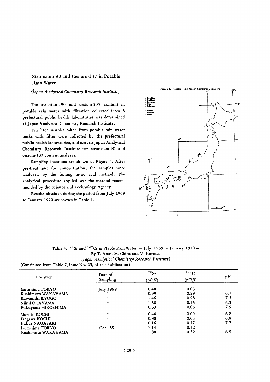#### Strontium-90 and Cesium-137 in Potable **Rain Water**

#### (Japan Analytical Chemistry Research Institute)

The strontium-90 and cesium-137 content in potable rain water with filtration collected from 8 prefectural public health laboratories was determined at Japan Analytical Chemistry Research Institute.

Ten liter samples taken from potable rain water tanks with filter were collected by the prefectural public health laboratories, and sent to Japan Analytical Chemistry Research Institute for strontium-90 and cesium-137 content analyses.

Sampling locations are shown in Figure 4. After pre-treatment for concentration, the samples were analyzed by the fuming nitric acid method. The analytical procedure applied was the method recommended by the Science and Technology Agency.

Results obtained during the period from July 1969 to January 1970 are shown in Table 4.



Table 4.  $90$  Sr and  $137$ Cs in Ptable Rain Water - July, 1969 to January 1970 -By T. Asari, M. Chiba and M. Kuroda (Japan Analytical Chemistry Research Institute) (Continued from Table 7, Issue No. 23, of this Publication)

|                    | Date of            | $90$ Sr | 137Cs   |     |
|--------------------|--------------------|---------|---------|-----|
| Location           | Sampling           | (pCi/l) | (pCi/l) | pH  |
| Izuoshima TOKYO    | July 1969          | 0.48    | 0.03    |     |
| Kushimoto WAKAYAMA |                    | 0.99    | 0.29    | 6.7 |
| Kawanishi KYOGO    | $\bullet$          | 1.46    | 0.98    | 7.3 |
| Niimi OKAYAMA      | $^{\prime\prime}$  | 1.50    | 0.15    | 6.3 |
| Fukuyama HIROSHIMA | $\cdot$            | 0.33    | 0.06    | 7.9 |
| Muroto KOCHI       | $\bullet$          | 0.44    | 0.09    | 6.8 |
| Ikegawa KOCHI      | $^{\prime}$        | 0.38    | 0.05    | 6.9 |
| Fukue NAGASAKI     | $^{\prime\prime}$  | 0.16    | 0.17    | 7.7 |
| Izuoshima TOKYO    | Oct. '69           | 1.14    | 0.12    |     |
| Kushimoto WAKAYAMA | $^{\prime \prime}$ | 1.88    | 0.32    | 6.5 |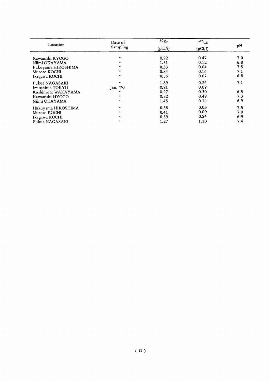| Location           | Date of           | 90 <sub>Sr</sub> | 137Cs   |     |
|--------------------|-------------------|------------------|---------|-----|
|                    | Sampling          | (pCi/l)          | (pCi/l) | pH  |
| Kawanishi KYOGO    | $^{\prime\prime}$ | 0.92             | 0.47    | 7.0 |
| Niimi OKAYAMA      | $\cdots$          | 1.51             | 0.12    | 6.8 |
| Fukuyama HIROSHIMA | $\cdots$          | 0.33             | 0.04    | 7.5 |
| Muroto KOCHI       | $\cdot$           | 0.84             | 0.16    | 7.1 |
| Ikegawa KOCHI      | $\mathbf{r}$      | 0.56             | 0.07    | 6.8 |
| Fukue NAGASAKI     | $^{\prime\prime}$ | 1.89             | 0.26    | 7.1 |
| Izuoshima TOKYO    | Jan. '70          | 0.81             | 0.09    |     |
| Kushimoto WAKAYAMA | $\bullet$         | 0.97             | 0.30    | 6.5 |
| Kawanishi HYOGO    | $\cdots$          | 0.82             | 0.49    | 7.3 |
| Niimi OKAYAMA      | $\bullet$         | 1.45             | 0.14    | 6.9 |
| Hukuyama HIROSHIMA | $\cdots$          | 0.38             | 0.03    | 7.5 |
| Muroto KOCHI       | $\cdot$           | 0.41             | 0.09    | 7.0 |
| Ikegawa KOCHI      | $\cdot$           | 0.39             | 0.24    | 6.9 |
| Fukue NAGASAKI     | $\bullet$         | 1.27             | 1.10    | 7.4 |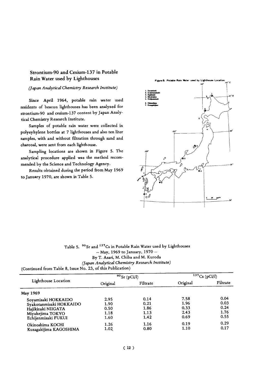#### Strontium-90 and Cesium-137 in Potable Rain Water used by Lighthouses

#### (Japan Analytical Chemistry Research Institute)

Since April 1964, potable rain water used residents of beacon lighthouses has been analyzed for strontium-90 and cesium-137 content by Japan Analytical Chemistry Research Institute.

Samples of potable rain water were collected in polyeyhylene bottles at 7 lighthouses and also ten liter samples, with and without filtration through sand and charcoal, were sent from each lighthouse.

Sampling locations are shown in Figure 5. The analytical procedure applied was the method recommended by the Science and Technology Agency.

Results obtained during the period from May 1969 to January 1970, are shown in Table 5.



#### Table 5. 90 Sr and 137 Cs in Potable Rain Water used by Lighthouses  $-$  May, 1969 to January, 1970  $-$ By T. Asari, M. Chiba and M. Kuroda (Japan Analytical Chemistry Research Institute)

(Continued from Table 8, Issue No. 23, of this Publication)

|                         |          | $90$ Sr (pCi/l) | $137Cs$ (pCi/l) |          |  |
|-------------------------|----------|-----------------|-----------------|----------|--|
| Lighthouse Location     | Original | Filtrate        | Original        | Filtrate |  |
| May 1969                |          |                 |                 |          |  |
| Soyamisaki HOKKAIDO     | 2.95     | 0.14            | 7.58            | 0.04     |  |
| Syakotanmisaki HOKKAIDO | 1.90     | 0.21            | 1.96            | 0.03     |  |
| Hajikizaki NIIGATA      | 0.50     | 1.86            | 0.33            | 0.24     |  |
| Miyakejima TOKYO        | 1.18     | 1.13            | 2.43            | 1.76     |  |
| Echijenmisaki FUKUI     | 1.60     | 1.42            | 0.69            | 0.55     |  |
| Okinoshima KOCHI        | 1.26     | 1.16            | 0.19            | 0.29     |  |
| Kusagakijima KAGOSHIMA  | 1.02     | 0.80            | 1.10            | 0.17     |  |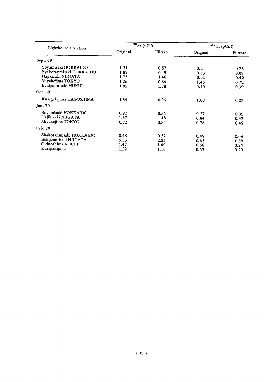| Lighthouse Location     |          | $90$ Sr (pCi/l) | $137Cs$ (pCi/l) |          |  |
|-------------------------|----------|-----------------|-----------------|----------|--|
|                         | Original | Filtrate        | Original        | Filtrate |  |
| Sept. 69                |          |                 |                 |          |  |
| Soyamisaki HOKKAIDO     | 1.31     | 0.57            | 0.21            | 0.25     |  |
| Syakotanmisaki HOKKAIDO | 1.89     | 0.49            | 0.53            | 0.07     |  |
| Hajikizaki NIIGATA      | 1.73     | 1.46            | 0.51            | 0.42     |  |
| Miyakejima TOKYO        | 1.26     | 0.86            | 1.45            | 0.72     |  |
| Echijenmisaki HUKUI     | 1.85     | 1.78            | 0.40            | 0.39     |  |
| Oct. 69                 |          |                 |                 |          |  |
| Kusagakijima KAGOSHIMA  | 1.54     | 0.96            | 1.88            | 0.23     |  |
| Jan. 70                 |          |                 |                 |          |  |
| Soyamisaki HOKKAIDO     | 0.92     | 0.36            | 0.27            | 0.05     |  |
| Hajikizaki NIIGATA      | 1.37     | 1.48            | 0.84            | 0.37     |  |
| Miyakejima TOKYO        | 0.92     | 0.85            | 0.78            | 0.49     |  |
| Feb. 70                 |          |                 |                 |          |  |
| Shakotanmisaki HOKKAIDO | 0.48     | 0.32            | 0.49            | 0.08     |  |
| Echijenmisaki NIIGATA   | 5.33     | 2.25            | 0.63            | 0.38     |  |
| Okinoshima KOCHI        | 1.47     | 1.60            | 0.66            | 0.24     |  |
| Kusagakijima            | 1.22     | 1.18            | 0.63            | 0.20     |  |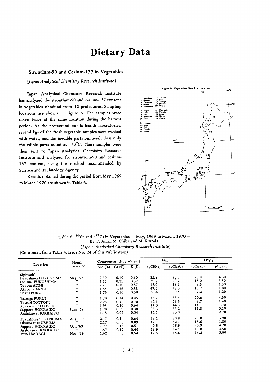### Dietary Data

#### Strontium-90 and Cesium-137 in Vegetables

(Japan Analytical Chemistry Research Institute)

Japan Analytical Chemistry Research Institute has analyzed the strontium-90 and cesium-137 content in vegetables obtained from 12 prefectures. Sampling locations are shown in Figure 6. The samples were taken twice at the same location during the harvest period. At the prefectural public health laboratories, several kgs of the fresh vegetable samples were washed with water, and the inedible parts removed, then only the edible parts ashed at 450°C. These samples were then sent to Japan Analytical Chemistry Research Institute and analyzed for strontium-90 and cesium-137 content, using the method recommended by Science and Technology Agency.

Results obtained during the period from May 1969 to March 1970 are shown in Table 6.



Table 6.  $90$  Sr and  $137$ Cs in Vegetables - May, 1969 to March, 1970 -By T. Asari, M. Chiba and M. Kuroda

(Japan Analytical Chemistry Research Institute)

(Continued from Table 4, Issue No. 24 of this Publication)

| Location            | Month             |            | Component (% by Weight) |          |          | $90$ Sr   | 137Cs    |          |
|---------------------|-------------------|------------|-------------------------|----------|----------|-----------|----------|----------|
|                     | Harvested         | Ash $(\%)$ | Ca $(\%)$               | K $(\%)$ | (pCi/kg) | (pCi/gCa) | (pCi/kg) | (pCi/gK) |
| (Spinach)           |                   |            |                         |          |          |           |          |          |
| Fukushima FUKUSHIMA | May '69           | 2.30       | 0.10                    | 0.60     | 23.8     | 23.8      | 25.8     | 4.30     |
| Okuma FUKUSHIMA     |                   | 1.65       | 0.11                    | 0.52     | 32.7     | 29.7      | 18.0     | 3.50     |
| Toyota AICHI        |                   | 2.23       | 0.10                    | 0.57     | 18.9     | 18.9      | 8.5      | 1.50     |
| Akabane AICHI       | $\cdots$          | 1.84       | 1.16                    | 0.58     | 67.2     | 42.0      | 10.2     | 1.80     |
| Fukui FUKUI         | $\bullet \bullet$ | 1.73       | 0,10                    | 0.58     | 30.4     | 30.4      | 7.2      | 1.20     |
| Tsuruga FUKUI       | $\bullet\bullet$  | 1.70       | 0.14                    | 0.45     | 46.7     | 33.4      | 20.0     | 4.50     |
| Tottori TOTTORI     |                   | 2.25       | 0.16                    | 0.70     | 42.1     | 26.3      | 9.7      | 1.40     |
| Kurayoshi TOTTORI   | $^{\prime\prime}$ | 1.95       | 0.10                    | 0.64     | 44.3     | 44.3      | 11.1     | 1.70     |
| Sapporo HOKKAIDO    | June '69          | 1.20       | 0.09                    | 0.38     | 23.3     | 33.2      | 11.8     | 3.10     |
| Asahikawa HOKKAIDO  |                   | 1.15       | 0.07                    | 0.34     | 16.1     | 23.0      | 9.1      | 2.70     |
| Fukushima FUKUSHIMA | Aug. '69          | 2.17       | 0.14                    | 0.64     | 29.1     | 20.8      | 25.0     | 3.90     |
| Okuma FUKUSHIMA     |                   | 2.17       | 0.08                    | 0.89     | 42.1     | 52.7      | 15.6     | 1.80     |
| Sapporo HOKKAIDO    | Oct. '69          | 1.77       | 0.14                    | 0.51     | 40.5     | 28.9      | 23.9     | 4.70     |
| Asahikawa HOKKAIDO  |                   | 1.57       | 0.12                    | 0.44     | 28.9     | 24.1      | 19.8     | 4.50     |
| Mito IBARAGI        | Nov. '69          | 1.62       | 0.08                    | 0.54     | 12.5     | 15.6      | 16.2     | 3.00     |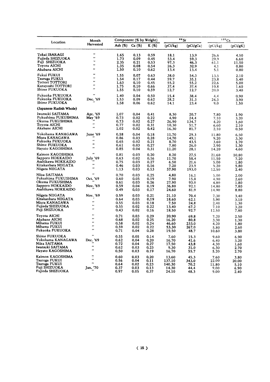| Location                                                                                             | Month                                                                        |                                      | Component (% by Weight)              |                                                   |                                             | $\cdot$ $\cdot$ Sr                     | 137Cs                                   |                                       |  |
|------------------------------------------------------------------------------------------------------|------------------------------------------------------------------------------|--------------------------------------|--------------------------------------|---------------------------------------------------|---------------------------------------------|----------------------------------------|-----------------------------------------|---------------------------------------|--|
|                                                                                                      | Harvested                                                                    | Ash (%)                              | Ca(%)                                | K $(\%)$                                          | (pCi/kg)                                    | (pCi/gCa)                              | (pCi/kg)                                | (pCi/gK)                              |  |
| Tokai IBARAGI<br>Fujieda SHIZUOKA<br>Fuji SHIZUOKA<br>Toyota AICHI                                   | .,<br>.,<br>٠.<br>$\cdot$                                                    | 1.65<br>1.73<br>2.35<br>1.35         | 0.13<br>0.09<br>0.21<br>0.08         | 0.59<br>0.45<br>0.53<br>0.54                      | 18.1<br>53.4<br>97.3<br>26.3                | 13.9<br>59.3<br>46.3<br>32.9           | 26.6<br>29.9<br>61.1<br>4.1             | 4.50<br>6.60<br>11.50<br>0.80         |  |
| Akabana AICHI                                                                                        | "                                                                            | 1.50                                 | 0.10                                 | 0.62                                              | 13.4                                        | 13.4                                   | 5.1                                     | 0.80                                  |  |
| Fukui FUKUI<br>Tsuruga FUKUI<br>Tottori TOTTORI<br>Kurayoshi TOTTORI<br>Shime FUKUOKA                | <br><br>.,<br><br>                                                           | 1.55<br>1.54<br>1.63<br>1.75<br>1.55 | 0.07<br>0.17<br>0.10<br>0.10<br>0.10 | 0.63<br>0.44<br>0.45<br>0.66<br>0.59              | 38.0<br>59.7<br>55.2<br>37.4<br>12.7        | 54.3<br>35.1<br>55.2<br>37.4<br>12.7   | 13.5<br>23.8<br>22.6<br>10.8<br>20.0    | 2.10<br>5.40<br>5.00<br>1.60<br>3.40  |  |
| Fukuoka FUKUOKA<br>Fukuoka FUKUOKA<br>Shime FUKUOKA                                                  | $\ddot{\phantom{a}}$<br>Dec. '69                                             | 1.40<br>1.53<br>1.58                 | 0.04<br>0.09<br>0.06                 | 0.50<br>0.62<br>0.62                              | 15.4<br>28.2<br>14.1                        | 38.4<br>31.3<br>23.4                   | 4.4<br>24.3<br>9.0                      | 0.90<br>3.90<br>1.50                  |  |
| (Japanese Radish Whole)                                                                              |                                                                              |                                      |                                      |                                                   |                                             |                                        |                                         |                                       |  |
| Iwatsuki SAITAMA<br>Fukushima FUKUSHIMA<br>Okuma FUKUSHIMA<br>Toyota AICHI<br>Akabane AICHI          | Apr. '69<br>May '69<br>$\ddot{\phantom{0}}$<br>.,                            | 1.07<br>0.73<br>0.73<br>0.77<br>1.02 | 0.04<br>0.02<br>0.02<br>0.02<br>0.02 | 0.41<br>0.22<br>0.27<br>0.31<br>0.42              | 8.30<br>4.90<br>26.90<br>10.30<br>16.30     | 20.7<br>24.4<br>134.7<br>51.7<br>81.7  | 7.80<br>7.10<br>4.20<br>6.60<br>2.10    | 1.90<br>3.20<br>1.60<br>2.10<br>0.50  |  |
| Yokohama KANAGAWA<br>Miura KANAGAWA<br>Fukuoka FUKUOKA<br>Shime FUKUOKA<br>Hayato KAGOSHIMA          | June '69<br>$\bullet$<br>$\pmb{\cdot}$<br>$\cdot$                            | 0.58<br>0.86<br>0.65<br>0.61<br>0.85 | 0.04<br>0.03<br>0.02<br>0.03<br>0.04 | 0.18<br>0.28 <sub>1</sub><br>0.21<br>0.27<br>0.31 | 11.70<br>14.70<br>8.70<br>7.80<br>11.20     | 29.3<br>49.1<br>43.5<br>26.0<br>28.1   | 11.80<br>9.20<br>3.60<br>2.90<br>14.20  | 6.50<br>3.30<br>1.70<br>1.30<br>4.60  |  |
| Kaimon KAGOSHIMA<br>Sapporo HOKKAIDO<br>Asahikawa HOKKAIDO<br>Kitakanbara NIIGATA<br>Niigata NIIGATA | $\ddot{\phantom{0}}$<br>July '69<br>$\bullet\bullet$<br>$\ddot{\phantom{a}}$ | 0.81<br>0.63<br>0.75<br>0.46<br>1.13 | 0.03<br>0.02<br>0.03<br>0.03<br>0.03 | 0.20<br>0.16<br>0.27<br>0.16<br>0.53              | 8.20<br>11.70<br>6.50<br>7.20<br>57.90      | 27.5<br>58.4<br>21.6<br>23.9<br>193.0  | 21.60<br>11.50<br>5.00<br>9.20<br>12.50 | 10.80<br>7.20<br>1.80<br>5.80<br>2.40 |  |
| Niiza SAITAMA<br>Fukushima FUKUSHIMA<br>Okuma FUKUSHIMA<br>Sapporo HOKKAIDO<br>Asahikawa HOKKAIDO    | .,<br>Oct. '69<br>Nov. '69                                                   | 0.70<br>0.60<br>0.61<br>0.59<br>0.49 | 0.03<br>0.05<br>0.03<br>0.04<br>0.03 | 0.25<br>0.19<br>0.26<br>0.19<br>0.17              | 4.80<br>7.90<br>27.90<br>36.80<br>24.60     | 16.1<br>15.8<br>93.0<br>92.1<br>81.9   | 5.00<br>4.90<br>4.80<br>14.80<br>14.90  | 2.00<br>2.60<br>1.80<br>7.80<br>8.80  |  |
| Niigata NIIGATA<br>Kitakanbara NIIGATA<br>Miura KANAGAWA<br>Fujieda SHIZUOKA<br>Fuji SHIZUOKA        | Nov. '69<br>$\bullet$<br>$\ddot{\phantom{a}}$<br>$\ddot{\phantom{0}}$        | 0.59<br>0.64<br>0.55<br>0.55<br>0.43 | 0.03<br>0.03<br>0.03<br>0.02<br>0.02 | 0.21<br>0.19<br>0.18<br>0.22<br>0.16              | 21.10<br>18.60<br>7.50<br>13.40<br>18.50    | 70.4<br>62.1<br>24.8<br>67.2<br>92.7   | 7.30<br>5.90<br>2.40<br>7.10<br>12.50   | 3.40<br>3.10<br>1.30<br>3.20<br>7.80  |  |
| Toyota AICHI<br>Akabane AICHI<br>Mihama FUKUI<br>Mihama FUKUI<br>Fukuoka FUKUOKA                     | <br>$\bullet\bullet$<br>$\bullet\bullet$<br><br>$\ddot{\phantom{a}}$         | 0.71<br>0.68<br>0.58<br>0.59<br>0.71 | 0.03<br>0.02<br>0.02<br>0.02<br>0.04 | 0.29<br>0.25<br>0.24<br>0.22<br>0.28              | 20.90<br>16.20<br>46.60<br>53.30<br>19.50   | 69.8<br>80.8<br>233.0<br>267.0<br>48.7 | 7.20<br>3.30<br>4.20<br>5.80<br>10.60   | 2.50<br>1.30<br>1.80<br>2.60<br>3.80  |  |
| Shime FUKUOKA<br>Yokohama KANAGAWA<br>Niiza SAITAMA<br>Iwatsuki SAITAMA<br>Hayato KAGOSHIMA          | $\ddot{\phantom{0}}$<br>Dec. '69<br><br><br>                                 | 0.55<br>0.62<br>0.72<br>0.62<br>0.50 | 0.05<br>0.04<br>0.04<br>0.03<br>0.03 | 0.14<br>0.20<br>0.27<br>0.23<br>0.19              | 7.60<br>16.70<br>17.50<br>9.30<br>16.70     | 15.3<br>41.6<br>43.8<br>31.0<br>55.7   | 9.60<br>6.40<br>4.30<br>6.30<br>5.20    | 6.90<br>3.20<br>1.60<br>2.70<br>2.70  |  |
| Kaimon KAGOSHIMA<br>Tsuruga FUKUI<br>Tsuruga FUKUI<br>Fuji SHIZUOKA<br>Fujieda SHIZUOKA              | ,,<br><br><br>Jan. '70                                                       | 0.60<br>0.56<br>0.64<br>0.37<br>0.97 | 0.03<br>0.04<br>0.02<br>0.03<br>0.05 | 0.20<br>0.11<br>0.23<br>0.13<br>0.37              | 13.60<br>137.10<br>140.30<br>14.30<br>24.10 | 45.3<br>343.0<br>70.2<br>44.4<br>48.3  | 7.60<br>22.00<br>11.80<br>9.00<br>9.00  | 3.80<br>20.00<br>5.10<br>6.90<br>2.40 |  |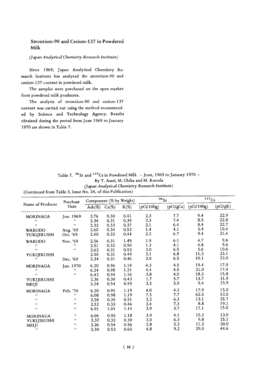#### Strontium-90 and Cesium-137 in Powdered Milk

#### (Japan Analytical Chemistry Research Institute)

Since 1969, Japan Analytical Chemistry Research Institute has analyzed the strontium-90 and cesium-137 content in powdered milk.

The samples were purchased on the open market from powdered milk producers.

The analysis of strontium-90 and cesium-137 content was carried out using the method recommended by Science and Technology Agency. Results obtained during the period from June 1969 to January 1970 are shown in Table 7.

| Table 7. $90$ Sr and $137$ Cs in Powdered Milk – June, 1969 to January 1970 – |
|-------------------------------------------------------------------------------|
| By T. Asari, M. Chiba and M. Kuroda                                           |
| (Japan Analytical Chemistry Research Institute)                               |

| (Continued from Table 3, Issue No. 24, of this Publication) |  |  |  |  |  |  |  |  |
|-------------------------------------------------------------|--|--|--|--|--|--|--|--|
|-------------------------------------------------------------|--|--|--|--|--|--|--|--|

| Purchase          |                   | Component (% by Weight) |          |         |            | 90Sr      | $137C_s$   |          |  |
|-------------------|-------------------|-------------------------|----------|---------|------------|-----------|------------|----------|--|
| Name of Producer  | Date              | Ash $(\%)$              | $Ca(\%)$ | $K(\%)$ | (pCi/100g) | (pCi/gCa) | (pCi/100g) | (pCi/gK) |  |
| <b>MORINAGA</b>   | Jun. 1969         | 3.76                    | 0.30     | 0.41    | 2.3        | 7.7       | 9.4        | 22.9     |  |
| $\bullet$         | ,,                | 2.34                    | 0.31     | 0.39    | 2.3        | 7.4       | 8.9        | 22.8     |  |
| $\bullet$         | $^{\prime\prime}$ | 2.32                    | 0.33     | 0.37    | 2.1        | 6.4       | 8.4        | 22.7     |  |
| <b>WAKODO</b>     | Aug. '69          | 2.60                    | 0.34     | 0.52    | 1.4        | 4.1       | 5.4        | 10.4     |  |
| YUKIJIRUSHI       | Oct. '69          | 2.40                    | 0.33     | 0.44    | 2.2        | 6.7       | 9.4        | 21.4     |  |
| <b>WAKODO</b>     | Nov. '69          | 2.56                    | 0.31     | 1.49    | 1.9        | 6.1       | 4.7        | 9.6      |  |
| $^{\prime\prime}$ | $\bullet$         | 2.51                    | 0.32     | 0.50    | 1.3        | 4.1       | 4.8        | 9.6      |  |
| $^{\prime\prime}$ | $\cdots$          | 2.62                    | 0.31     | 0.53    | 2.0        | 6.5       | 5.6        | 10.6     |  |
| YUKIJIRUSHI       |                   | 2.50                    | 0.31     | 0.49    | 2.1        | 6.8       | 11.3       | 23.1     |  |
| ,,                | Dec. '69          | 2.34                    | 0.31     | 0.46    | 2.0        | 6.5       | 10.1       | 22.0     |  |
| <b>MORINAGA</b>   | Jan. 1970         | 6.20                    | 0.96     | 1.14    | 4.3        | 4.5       | 19.4       | 17.0     |  |
| $\bullet$         | $\mathbf{r}$      | 6.24                    | 0.98     | 1.21    | 4.4        | 4.5       | 21.0       | 17.4     |  |
| $\lambda$         | $\bullet$         | 6.42                    | 0.94     | 1.16    | 3.8        | 4.0       | 18.3       | 15.8     |  |
| YUKIJIRUSHI       |                   | 2.36                    | 0.30     | 0.43    | 1.7        | 5.7       | 13.7       | 31.9     |  |
| MEIJI             |                   | 3.24                    | 0.54     | 0.59    | 3.2        | 5.9       | 9.4        | 15.9     |  |
| <b>MORINAGA</b>   | Feb. '70          | 6.20                    | 0.95     | 1.19    | 4.0        | 4.2       | 17.9       | 15.0     |  |
| $\cdots$          | $\bullet$         | 6.08                    | 0.98     | 1.19    | 7.5        | 7.7       | 62.5       | 52.5     |  |
| $\cdots$          | ,,                | 2.58                    | 0.35     | 0.51    | 2.2        | 6.3       | 13.1       | 25.7     |  |
| $\bullet\bullet$  | $\bullet$         | 2.52                    | 0.33     | 0.46    | 2.4        | 7.3       | 8.8        | 19.1     |  |
| $\bullet$         | $\pmb{\cdots}$    | 6.91                    | 1.01     | 1.14    | 3.9        | 3.7       | 17.1       | 15.0     |  |
| <b>MORINAGA</b>   | $\cdots$          | 6.04                    | 0.95     | 1.18    | 3.9        | 4.1       | 15.3       | 13.0     |  |
| YUKIJIRUSHI       | $\bullet$         | 2.32                    | 0.32     | 0.39    | 2.0        | 6.3       | 9.8        | 25.1     |  |
| MEIJI             | $\bullet$         | 3.26                    | 0.54     | 0.56    | 2.8        | 5.2       | 11.2       | 20.0     |  |
| $^{\prime}$       | $\cdots$          | 3.30                    | 0.52     | 0.65    | 4.8        | 9.2       | 29.0       | 44.6     |  |